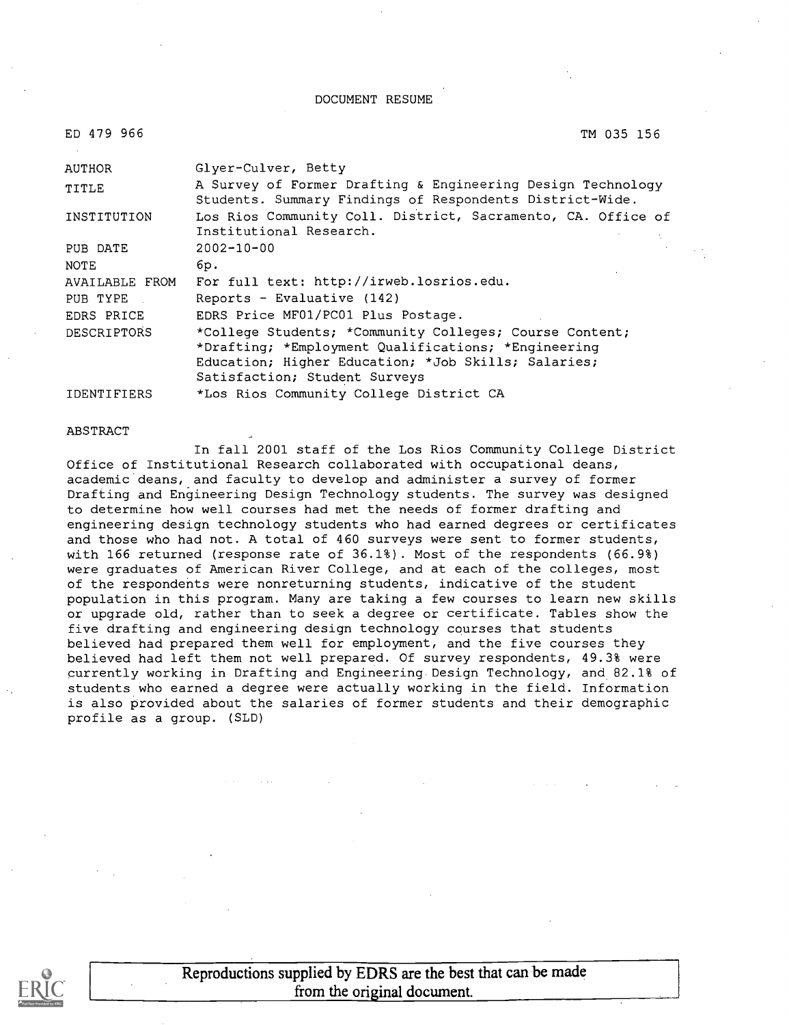#### DOCUMENT RESUME

| ED 479 966 |  |
|------------|--|
|            |  |

#### TM 035 156

| <b>AUTHOR</b>                                       | Glyer-Culver, Betty                                                                                                     |  |  |
|-----------------------------------------------------|-------------------------------------------------------------------------------------------------------------------------|--|--|
| TITLE                                               | A Survey of Former Drafting & Engineering Design Technology<br>Students. Summary Findings of Respondents District-Wide. |  |  |
| INSTITUTION                                         | Los Rios Community Coll. District, Sacramento, CA. Office of                                                            |  |  |
|                                                     | Institutional Research.                                                                                                 |  |  |
| PUB DATE                                            | $2002 - 10 - 00$                                                                                                        |  |  |
| <b>NOTE</b>                                         | 6p.                                                                                                                     |  |  |
| AVAILABLE FROM                                      | For full text: http://irweb.losrios.edu.                                                                                |  |  |
| PUB TYPE                                            | Reports - Evaluative (142)                                                                                              |  |  |
| EDRS PRICE                                          | EDRS Price MF01/PC01 Plus Postage.                                                                                      |  |  |
| <b>DESCRIPTORS</b>                                  | *College Students; *Community Colleges; Course Content;                                                                 |  |  |
| *Drafting; *Employment Qualifications; *Engineering |                                                                                                                         |  |  |
|                                                     | Education; Higher Education; *Job Skills; Salaries;                                                                     |  |  |
|                                                     | Satisfaction; Student Surveys                                                                                           |  |  |
| <b>IDENTIFIERS</b>                                  | *Los Rios Community College District CA                                                                                 |  |  |

#### ABSTRACT

In fall 2001 staff of the Los Rios Community College District Office of Institutional Research collaborated with occupational deans, academic deans, and faculty to develop and administer a survey of former Drafting and Engineering Design Technology students. The survey was designed to determine how well courses had met the needs of former drafting and engineering design technology students who had earned degrees or certificates and those who had not. A total of 460 surveys were sent to former students, with 166 returned (response rate of 36.1%). Most of the respondents (66.9%) were graduates of American River College, and at each of the colleges, most of the respondents were nonreturning students, indicative of the student population in this program. Many are taking a few courses to learn new skills or upgrade old, rather than to seek a degree or certificate. Tables show the five drafting and engineering design technology courses that students believed had prepared them well for employment, and the five courses they believed had left them not well prepared. Of survey respondents, 49.3% were currently working in Drafting and Engineering Design Technology, and 82.1% of students who earned a degree were actually working in the field. Information is also provided about the salaries of former students and their demographic profile as a group. (SLD)

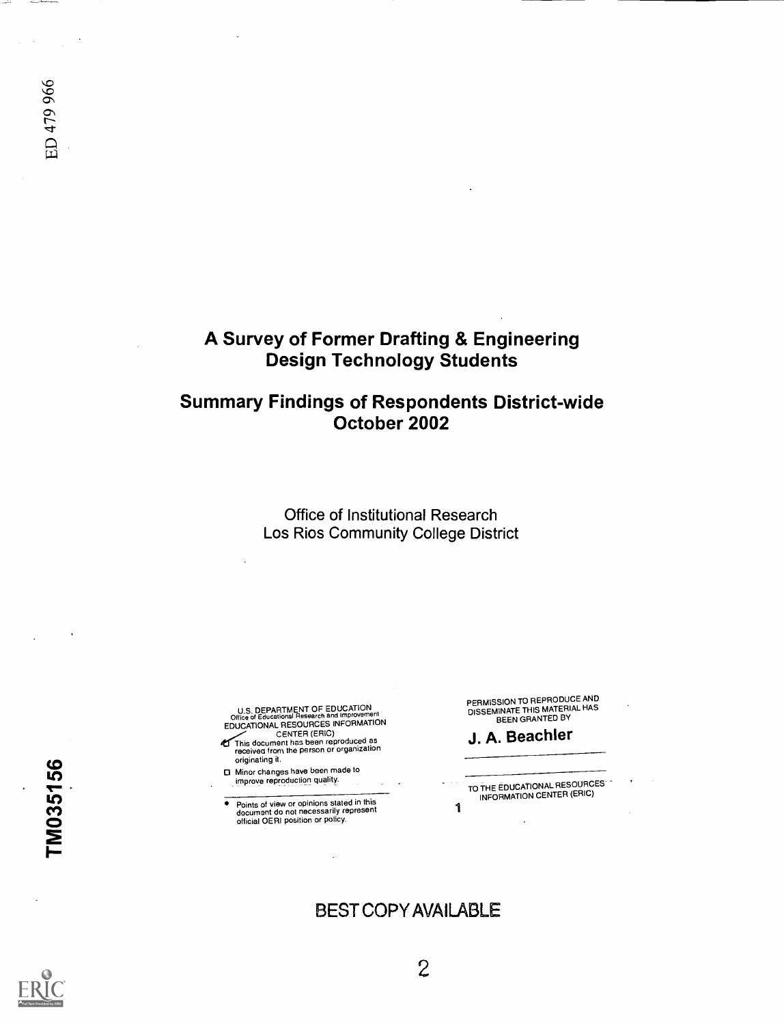# A Survey of Former Drafting & Engineering Design Technology Students

# Summary Findings of Respondents District-wide October 2002

Office of Institutional Research Los Rios Community College District

U.S. DEPARTMENT OF EDUCATION<br>Office of Educational Research and Improvement Office of Educational Research and Improvement<br>EDUCATIONAL RESOURCES INFORMATION

CENTER (ERIC)<br>This document has been reproduced as<br>received from the person or organization originating it.

0 Minor changes have been made to improve reproduction quality.

Points of view or opinions stated in this document do not necessarily represent official OERI position or policy.

PERMISSION TO REPRODUCE AND<br>DISSEMINATE THIS MATERIAL HAS<br>BEEN GRANTED BY

# J. A. Beachler

1 TO THE EDUCATIONAL RESOURCES INFORMATION CENTER (ERIC)

BEST COPY AVAILABLE

ED 479 966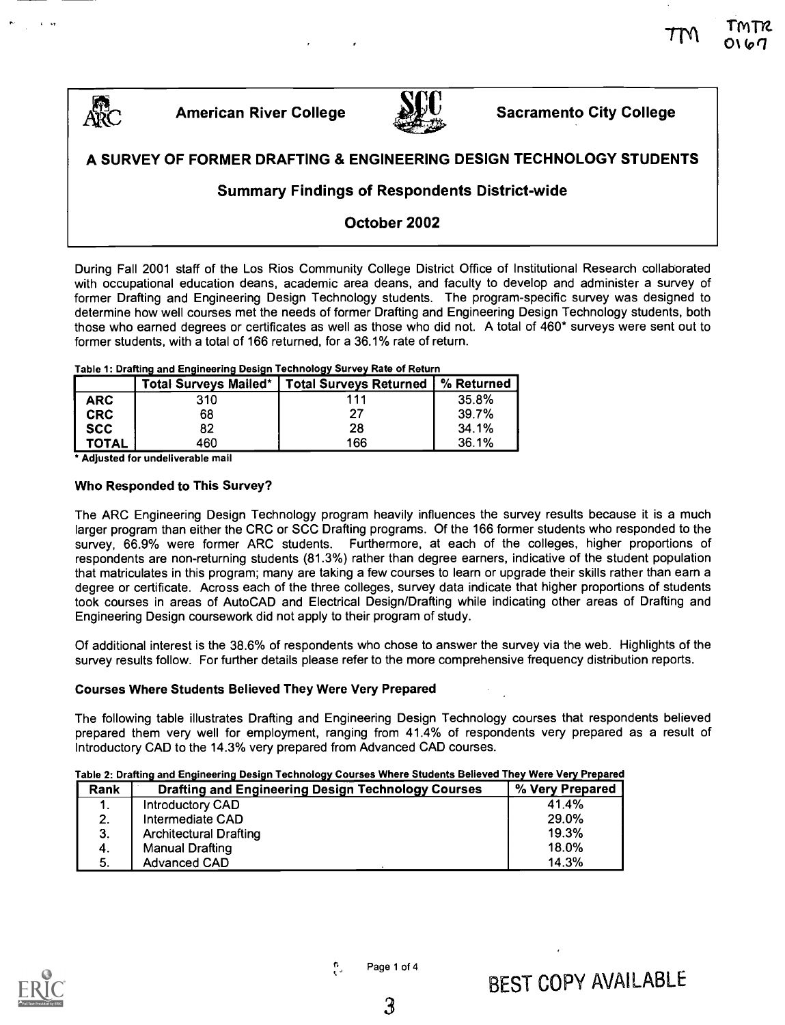



# $\overbrace{\text{ABC}}$  American River College  $\overbrace{\text{ABC}}$  Sacramento City College

 $O(67)$ 

# A SURVEY OF FORMER DRAFTING & ENGINEERING DESIGN TECHNOLOGY STUDENTS

### Summary Findings of Respondents District-wide

# October 2002

During Fall 2001 staff of the Los Rios Community College District Office of Institutional Research collaborated with occupational education deans, academic area deans, and faculty to develop and administer a survey of former Drafting and Engineering Design Technology students. The program-specific survey was designed to determine how well courses met the needs of former Drafting and Engineering Design Technology students, both those who earned degrees or certificates as well as those who did not. A total of 460\* surveys were sent out to former students, with a total of 166 returned, for a 36.1% rate of return.

|              | <b>Total Surveys Mailed*</b> | <b>Total Surveys Returned</b> | % Returned |
|--------------|------------------------------|-------------------------------|------------|
| <b>ARC</b>   | 310                          | 111                           | 35.8%      |
| <b>CRC</b>   | 68                           |                               | 39.7%      |
| <b>SCC</b>   | 82                           | 28                            | 34.1%      |
| <b>TOTAL</b> | 460                          | 166                           | 36.1%      |

Table 1: Drafting and Engineering Design Technology Survey Rate of Return

Adjusted for undeliverable mail

#### Who Responded to This Survey?

The ARC Engineering Design Technology program heavily influences the survey results because it is a much larger program than either the CRC or SCC Drafting programs. Of the 166 former students who responded to the survey, 66.9% were former ARC students. Furthermore, at each of the colleges, higher proportions of respondents are non-returning students (81.3%) rather than degree earners, indicative of the student population that matriculates in this program; many are taking a few courses to learn or upgrade their skills rather than earn a degree or certificate. Across each of the three colleges, survey data indicate that higher proportions of students took courses in areas of AutoCAD and Electrical Design/Drafting while indicating other areas of Drafting and Engineering Design coursework did not apply to their program of study.

Of additional interest is the 38.6% of respondents who chose to answer the survey via the web. Highlights of the survey results follow. For further details please refer to the more comprehensive frequency distribution reports.

#### Courses Where Students Believed They Were Very Prepared

The following table illustrates Drafting and Engineering Design Technology courses that respondents believed prepared them very well for employment, ranging from 41.4% of respondents very prepared as a result of Introductory CAD to the 14.3% very prepared from Advanced CAD courses.

### Table 2: Drafting and Engineering Design Technology Courses Where Students Believed They Were Very Prepared

| Rank | <b>Drafting and Engineering Design Technology Courses</b> | % Very Prepared |
|------|-----------------------------------------------------------|-----------------|
| ι.   | Introductory CAD                                          | 41.4%           |
| 2.   | Intermediate CAD                                          | 29.0%           |
| 3.   | <b>Architectural Drafting</b>                             | 19.3%           |
| 4.   | Manual Drafting                                           | 18.0%           |
| -5.  | <b>Advanced CAD</b>                                       | 14.3%           |



ė, Page 1 of 4 g.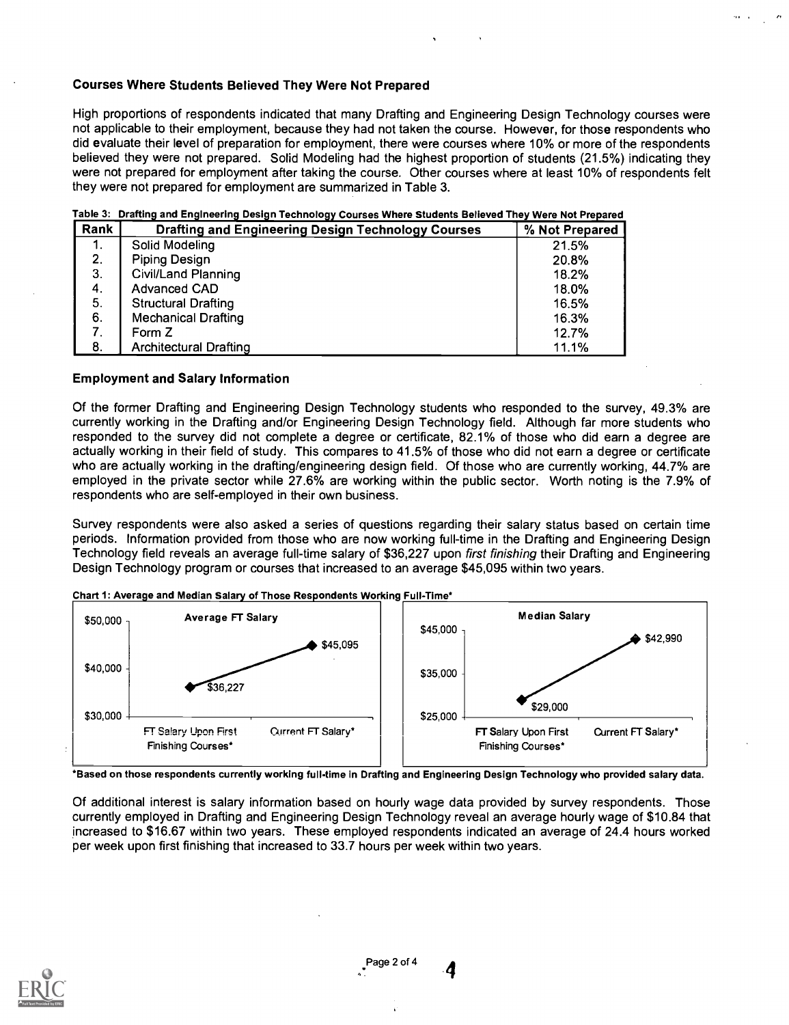#### Courses Where Students Believed They Were Not Prepared

High proportions of respondents indicated that many Drafting and Engineering Design Technology courses were not applicable to their employment, because they had not taken the course. However, for those respondents who did evaluate their level of preparation for employment, there were courses where 10% or more of the respondents believed they were not prepared. Solid Modeling had the highest proportion of students (21.5%) indicating they were not prepared for employment after taking the course. Other courses where at least 10% of respondents felt they were not prepared for employment are summarized in Table 3.

#### Table 3: Drafting and Engineering Design Technology Courses Where Students Believed They Were Not Prepared

| Rank | <b>Drafting and Engineering Design Technology Courses</b> | % Not Prepared |
|------|-----------------------------------------------------------|----------------|
| 1.   | Solid Modeling                                            | 21.5%          |
| 2.   | Piping Design                                             | 20.8%          |
| 3.   | <b>Civil/Land Planning</b>                                | 18.2%          |
| 4.   | <b>Advanced CAD</b>                                       | 18.0%          |
| 5.   | <b>Structural Drafting</b>                                | 16.5%          |
| 6.   | <b>Mechanical Drafting</b>                                | 16.3%          |
| 7.   | Form Z                                                    | 12.7%          |
| 8.   | <b>Architectural Drafting</b>                             | 11.1%          |

#### Employment and Salary Information

Of the former Drafting and Engineering Design Technology students who responded to the survey, 49.3% are currently working in the Drafting and/or Engineering Design Technology field. Although far more students who responded to the survey did not complete a degree or certificate, 82.1% of those who did earn a degree are actually working in their field of study. This compares to 41.5% of those who did not earn a degree or certificate who are actually working in the drafting/engineering design field. Of those who are currently working, 44.7% are employed in the private sector while 27.6% are working within the public sector. Worth noting is the 7.9% of respondents who are self-employed in their own business.

Survey respondents were also asked a series of questions regarding their salary status based on certain time periods. Information provided from those who are now working full-time in the Drafting and Engineering Design Technology field reveals an average full-time salary of \$36,227 upon first finishing their Drafting and Engineering Design Technology program or courses that increased to an average \$45,095 within two years.



Chart 1: Average and Median Salary of Those Respondents Working Full-Time\*

\*Based on those respondents currently working full-time In Drafting and Engineering Design Technology who provided salary data.

Of additional interest is salary information based on hourly wage data provided by survey respondents. Those currently employed in Drafting and Engineering Design Technology reveal an average hourly wage of \$10.84 that increased to \$16.67 within two years. These employed respondents indicated an average of 24.4 hours worked per week upon first finishing that increased to 33.7 hours per week within two years.

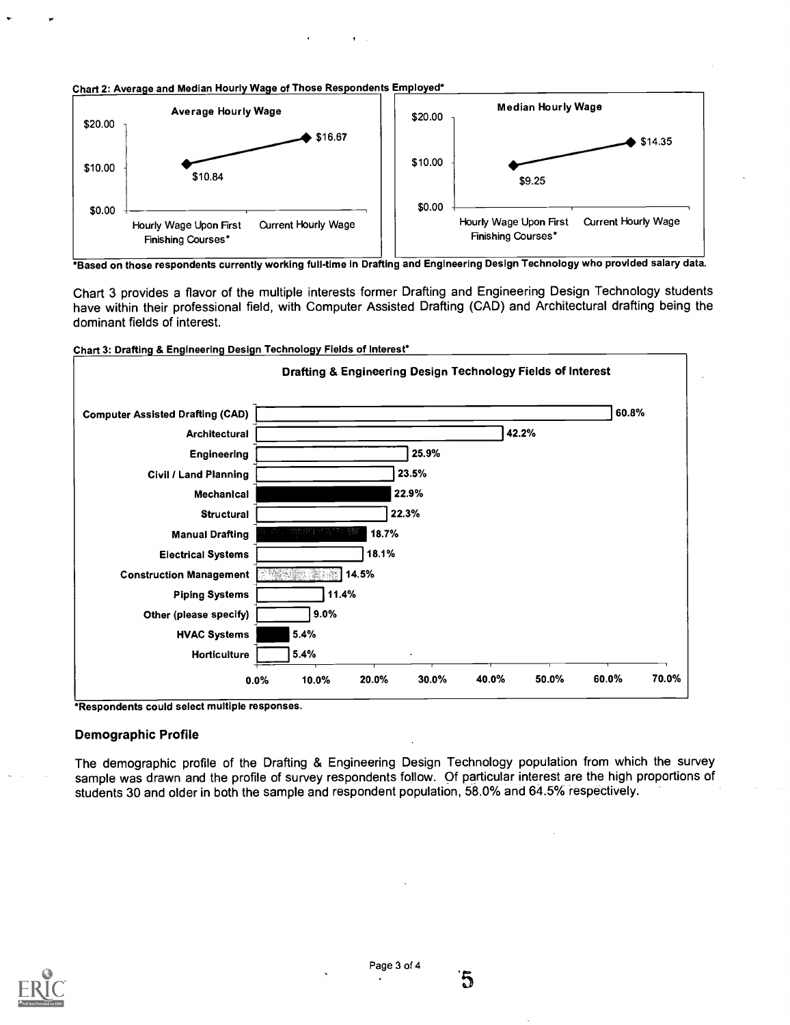



\*Based on those respondents currently working full-time in Drafting and Engineering Design Technology who provided salary data.

Chart 3 provides a flavor of the multiple interests former Drafting and Engineering Design Technology students have within their professional field, with Computer Assisted Drafting (CAD) and Architectural drafting being the dominant fields of interest.



Chart 3: Drafting & Engineering Design Technology Fields of Interest\*

\*Respondents could select multiple responses.

#### Demographic Profile

The demographic profile of the Drafting & Engineering Design Technology population from which the survey sample was drawn and the profile of survey respondents follow. Of particular interest are the high proportions of students 30 and older in both the sample and respondent population, 58.0% and 64.5% respectively.



์กิ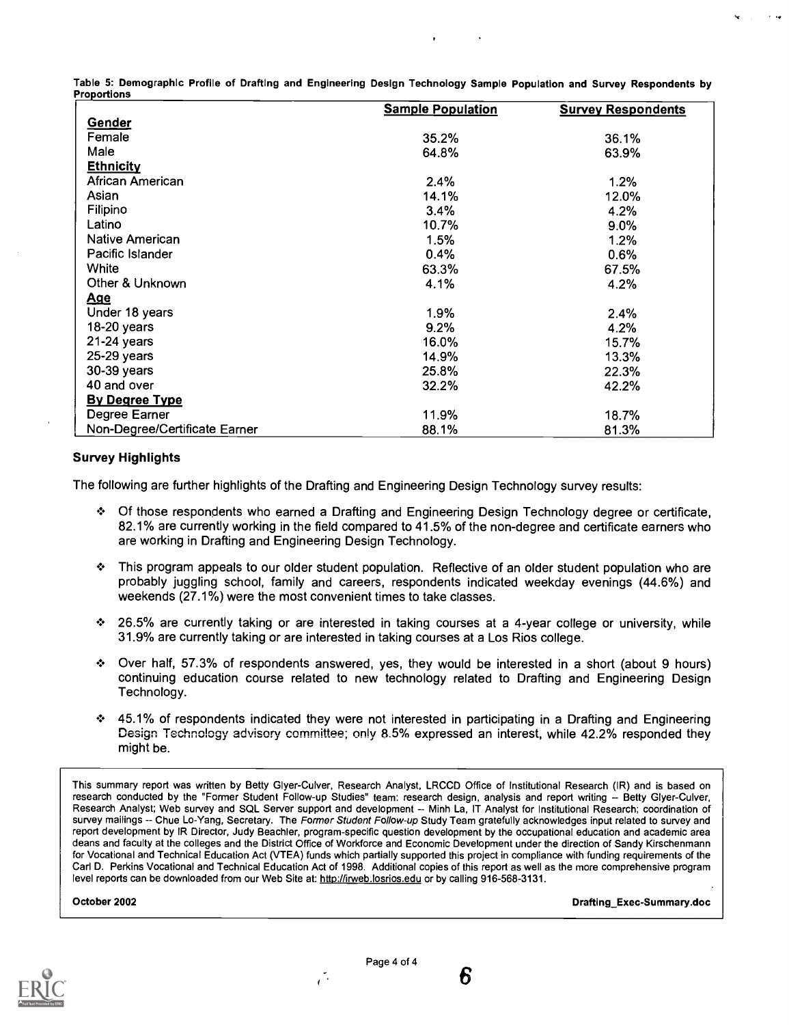Table 5: Demographic Profile of Drafting and Engineering Design Technology Sample Population and Survey Respondents by Proportions

|                               | <b>Sample Population</b> | <b>Survey Respondents</b> |
|-------------------------------|--------------------------|---------------------------|
| Gender                        |                          |                           |
| Female                        | 35.2%                    | 36.1%                     |
| Male                          | 64.8%                    | 63.9%                     |
| <b>Ethnicity</b>              |                          |                           |
| African American              | 2.4%                     | 1.2%                      |
| Asian                         | 14.1%                    | 12.0%                     |
| Filipino                      | 3.4%                     | 4.2%                      |
| Latino                        | 10.7%                    | $9.0\%$                   |
| Native American               | 1.5%                     | 1.2%                      |
| Pacific Islander              | 0.4%                     | 0.6%                      |
| White                         | 63.3%                    | 67.5%                     |
| Other & Unknown               | 4.1%                     | 4.2%                      |
| <u>Age</u>                    |                          |                           |
| Under 18 years                | 1.9%                     | 2.4%                      |
| 18-20 years                   | 9.2%                     | 4.2%                      |
| 21-24 years                   | 16.0%                    | 15.7%                     |
| 25-29 years                   | 14.9%                    | 13.3%                     |
| 30-39 years                   | 25.8%                    | 22.3%                     |
| 40 and over                   | 32.2%                    | 42.2%                     |
| <b>By Degree Type</b>         |                          |                           |
| Degree Earner                 | 11.9%                    | 18.7%                     |
| Non-Degree/Certificate Earner | 88.1%                    | 81.3%                     |

#### Survey Highlights

The following are further highlights of the Drafting and Engineering Design Technology survey results:

- Of those respondents who earned a Drafting and Engineering Design Technology degree or certificate, 82.1% are currently working in the field compared to 41.5% of the non-degree and certificate earners who are working in Drafting and Engineering Design Technology.
- This program appeals to our older student population. Reflective of an older student population who are probably juggling school, family and careers, respondents indicated weekday evenings (44.6%) and weekends (27.1%) were the most convenient times to take classes.
- 26.5% are currently taking or are interested in taking courses at a 4-year college or university, while 31.9% are currently taking or are interested in taking courses at a Los Rios college.
- Over half, 57.3% of respondents answered, yes, they would be interested in a short (about 9 hours) continuing education course related to new technology related to Drafting and Engineering Design Technology.
- 45.1% of respondents indicated they were not interested in participating in a Drafting and Engineering Design Technology advisory committee; only 8.5% expressed an interest, while 42.2% responded they might be.

This summary report was written by Betty Glyer-Culver, Research Analyst, LRCCD Office of Institutional Research (IR) and is based on research conducted by the "Former Student Follow-up Studies" team: research design, analysis and report writing -- Betty Glyer-Culver, Research Analyst; Web survey and SQL Server support and development -- Minh La, IT Analyst for Institutional Research; coordination of survey mailings -- Chue Lo-Yang, Secretary. The Former Student Follow-up Study Team gratefully acknowledges input related to survey and report development by IR Director, Judy Beachier, program-specific question development by the occupational education and academic area deans and faculty at the colleges and the District Office of Workforce and Economic Development under the direction of Sandy Kirschenmann for Vocational and Technical Education Act (VTEA) funds which partially supported this project in compliance with funding requirements of the Carl D. Perkins Vocational and Technical Education Act of 1998. Additional copies of this report as well as the more comprehensive program level reports can be downloaded from our Web Site at: http://irweb.losrios.edu or by calling 916-568-3131.

October 2002 Drafting\_Exec-Summary.doc



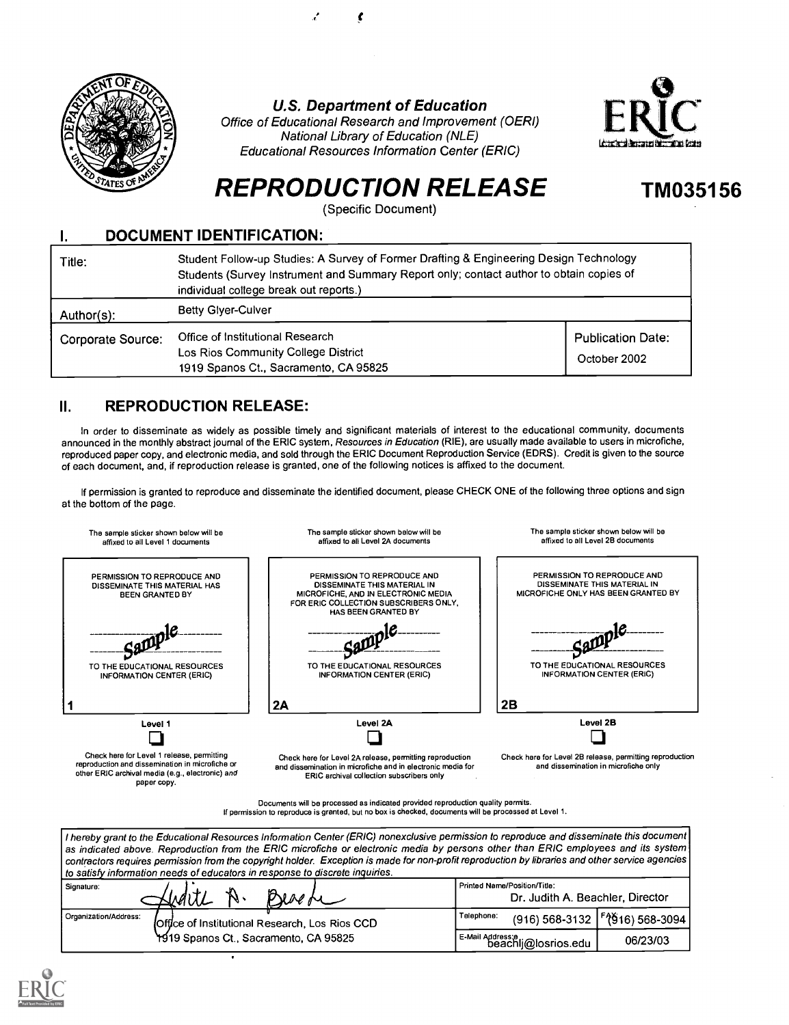

#### U.S. Department of Education

Office of Educational Research and Improvement (OERI) National Library of Education (NLE) Educational Resources Information Center (ERIC)



TM035156

# REPRODUCTION RELEASE

(Specific Document)

#### I. DOCUMENT IDENTIFICATION: Title: Student Follow-up Studies: A Survey of Former Drafting & Engineering Design Technology Students (Survey Instrument and Summary Report only; contact author to obtain copies of individual college break out reports.)

| Author(s):        | <b>Betty Glyer-Culver</b>                                                                                        |                                          |
|-------------------|------------------------------------------------------------------------------------------------------------------|------------------------------------------|
| Corporate Source: | Office of Institutional Research<br>Los Rios Community College District<br>1919 Spanos Ct., Sacramento, CA 95825 | <b>Publication Date:</b><br>October 2002 |

# II. REPRODUCTION RELEASE:

In order to disseminate as widely as possible timely and significant materials of interest to the educational community, documents announced in the monthly abstract journal of the ERIC system, Resources in Education (RIE), are usually made available to users in microfiche, reproduced paper copy, and electronic media, and sold through the ERIC Document Reproduction Service (EDRS). Credit is given to the source of each document, and, if reproduction release is granted, one of the following notices is affixed to the document.

If permission is granted to reproduce and disseminate the identified document, please CHECK ONE of the following three options and sign at the bottom of the page.



Documents will be processed as indicated provided reproduction quality permits. If permission to reproduce is granted, but no box is checked, documents will be processed at Level 1.

I hereby grant to the Educational Resources Information Center (ERIC) nonexclusive permission to reproduce and disseminate this document as indicated above. Reproduction from the ERIC microfiche or electronic media by persons other than ERIC employees and its system contractors requires permission from the copyright holder. Exception is made for non-proft reproduction by libraries and other service agencies to satisfy information needs of educators in response to discrete inquiries.

| Signature:<br>Besefe<br>Virgin                                          | Printed Name/Position/Title:<br>Dr. Judith A. Beachler, Director |
|-------------------------------------------------------------------------|------------------------------------------------------------------|
| Organization/Address:<br>Office of Institutional Research, Los Rios CCD | $(916)$ 568-3132   [2](916) 568-3094  <br>Telephone:             |
| 1919 Spanos Ct., Sacramento, CA 95825                                   | E-Mail Address:e<br>06/23/03<br>beachli@losrios.edu              |